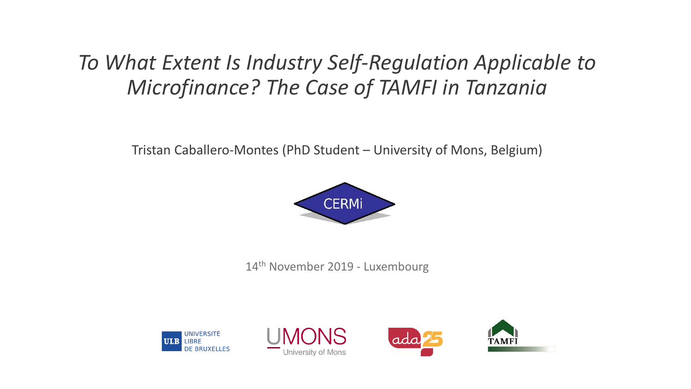## *To What Extent Is Industry Self-Regulation Applicable to Microfinance? The Case of TAMFI in Tanzania*

Tristan Caballero-Montes (PhD Student – University of Mons, Belgium)



14<sup>th</sup> November 2019 - Luxembourg







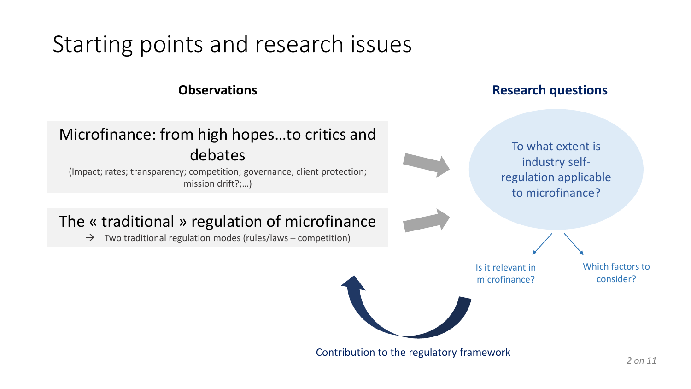# Starting points and research issues

### Microfinance: from high hopes…to critics and debates

(Impact; rates; transparency; competition; governance, client protection; mission drift?;…)

### The « traditional » regulation of microfinance

 $\rightarrow$  Two traditional regulation modes (rules/laws – competition)

### **Observations COLLEGE 2018 Research questions**

To what extent is industry selfregulation applicable to microfinance?

Is it relevant in microfinance?

Which factors to consider?

Contribution to the regulatory framework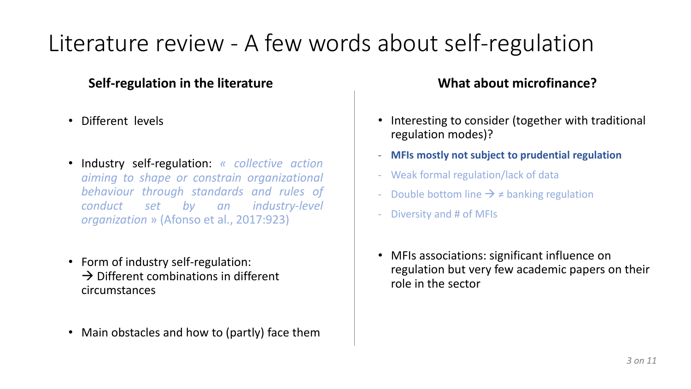# Literature review - A few words about self-regulation

### **Self-regulation in the literature What about microfinance?**

- Different levels
- Industry self-regulation: *« collective action aiming to shape or constrain organizational behaviour through standards and rules of conduct set by an industry-level organization* » (Afonso et al., 2017:923)
- Form of industry self-regulation:  $\rightarrow$  Different combinations in different circumstances
- Main obstacles and how to (partly) face them

- Interesting to consider (together with traditional regulation modes)?
- **MFIs mostly not subject to prudential regulation**
- Weak formal regulation/lack of data
- Double bottom line  $\rightarrow \neq$  banking regulation
- Diversity and # of MFIs
- MFIs associations: significant influence on regulation but very few academic papers on their role in the sector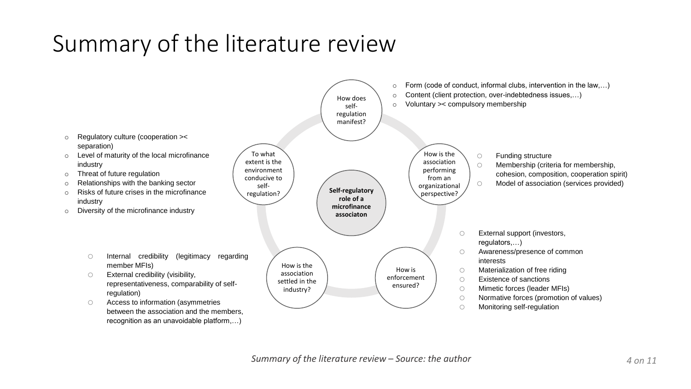# Summary of the literature review

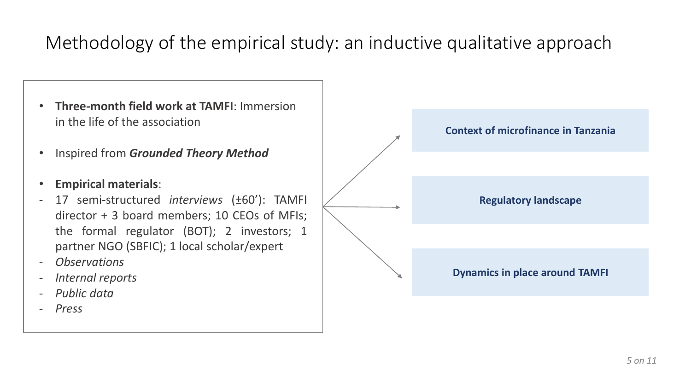## Methodology of the empirical study: an inductive qualitative approach

- **Three-month field work at TAMFI**: Immersion in the life of the association
- Inspired from *Grounded Theory Method*
- **Empirical materials**:
- 17 semi-structured *interviews* (±60'): TAMFI director + 3 board members; 10 CEOs of MFIs; the formal regulator (BOT); 2 investors; 1 partner NGO (SBFIC); 1 local scholar/expert
- *Observations*
- *Internal reports*
- *Public data*
- *Press*

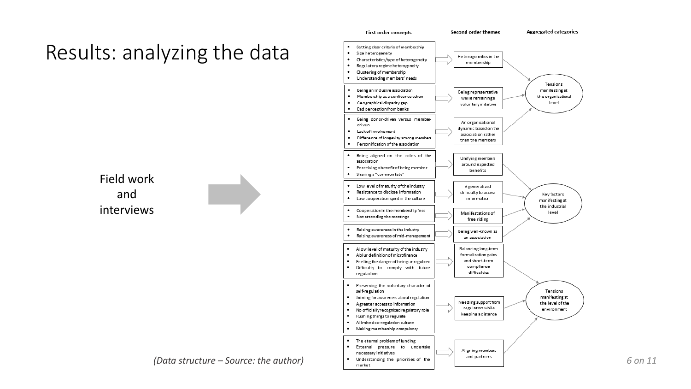



*(Data structure – Source: the author)*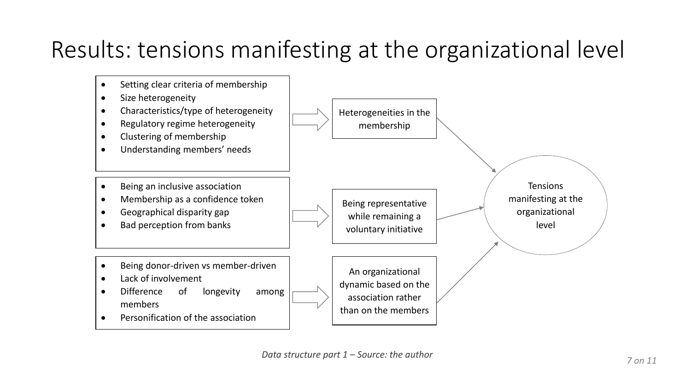# Results: tensions manifesting at the organizational level

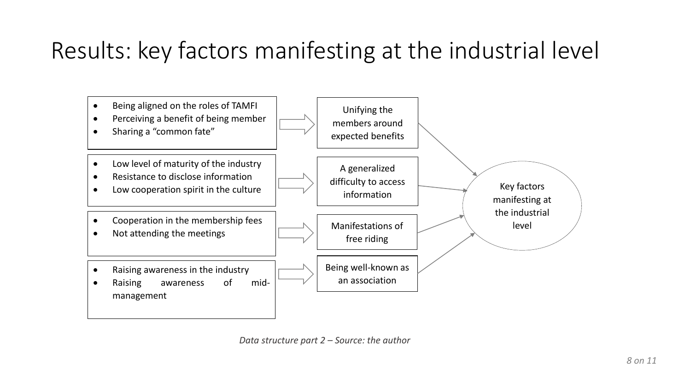# Results: key factors manifesting at the industrial level



*Data structure part 2 – Source: the author*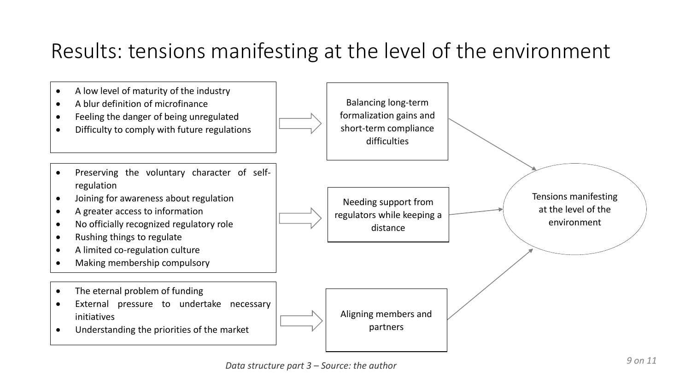# Results: tensions manifesting at the level of the environment

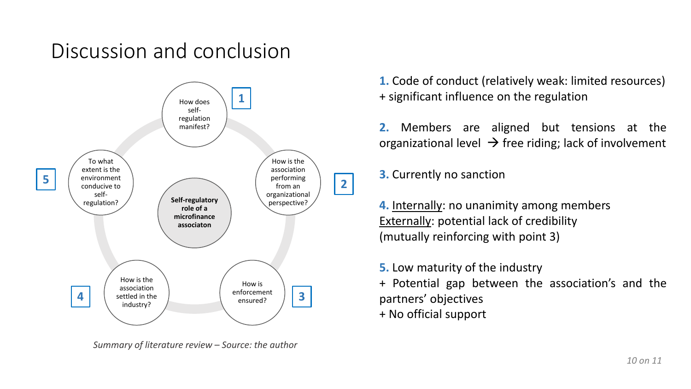## Discussion and conclusion



*Summary of literature review – Source: the author*

**1.** Code of conduct (relatively weak: limited resources) + significant influence on the regulation

**2.** Members are aligned but tensions at the organizational level  $\rightarrow$  free riding; lack of involvement

**3.** Currently no sanction

**4.** Internally: no unanimity among members Externally: potential lack of credibility (mutually reinforcing with point 3)

**5.** Low maturity of the industry

+ Potential gap between the association's and the partners' objectives

+ No official support